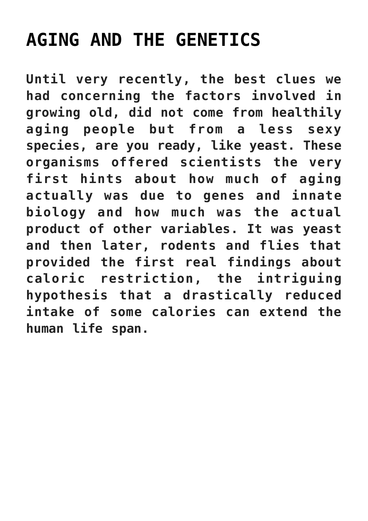## **[AGING AND THE GENETICS](https://beautiflworid.com/aging-and-the-genetics)**

**Until very recently, the best clues we had concerning the factors involved in growing old, did not come from healthily aging people but from a less sexy species, are you ready, like yeast. These organisms offered scientists the very first hints about how much of aging actually was due to genes and innate biology and how much was the actual product of other variables. It was yeast and then later, rodents and flies that provided the first real findings about caloric restriction, the intriguing hypothesis that a drastically reduced intake of some calories can extend the human life span.**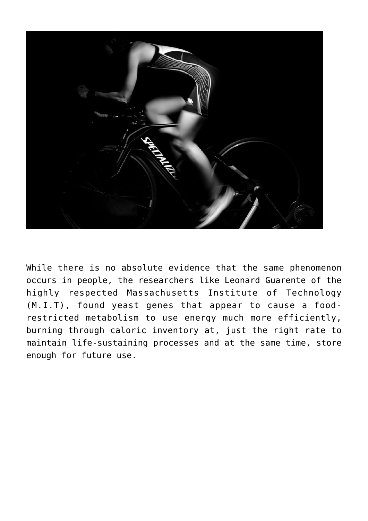

While there is no absolute evidence that the same phenomenon occurs in people, the researchers like Leonard Guarente of the highly respected Massachusetts Institute of Technology (M.I.T), found yeast genes that appear to cause a foodrestricted metabolism to use energy much more efficiently, burning through caloric inventory at, just the right rate to maintain life-sustaining processes and at the same time, store enough for future use.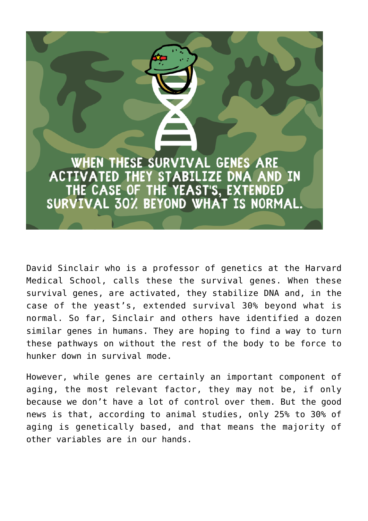

David Sinclair who is a professor of genetics at the Harvard Medical School, calls these the survival genes. When these survival genes, are activated, they stabilize DNA and, in the case of the yeast's, extended survival 30% beyond what is normal. So far, Sinclair and others have identified a dozen similar genes in humans. They are hoping to find a way to turn these pathways on without the rest of the body to be force to hunker down in survival mode.

However, while genes are certainly an important component of aging, the most relevant factor, they may not be, if only because we don't have a lot of control over them. But the good news is that, according to animal studies, only 25% to 30% of aging is genetically based, and that means the majority of other variables are in our hands.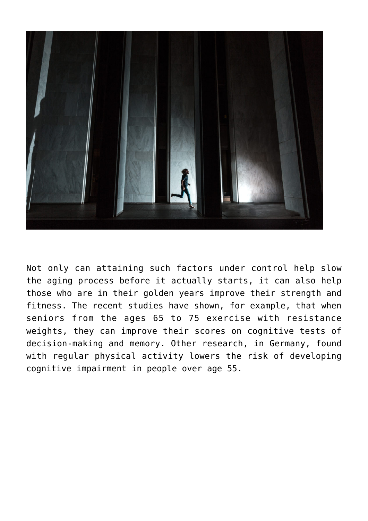

Not only can attaining such factors under control help slow the aging process before it actually starts, it can also help those who are in their golden years improve their strength and fitness. The recent studies have shown, for example, that when seniors from the ages 65 to 75 exercise with resistance weights, they can improve their scores on cognitive tests of decision-making and memory. Other research, in Germany, found with regular physical activity lowers the risk of developing cognitive impairment in people over age 55.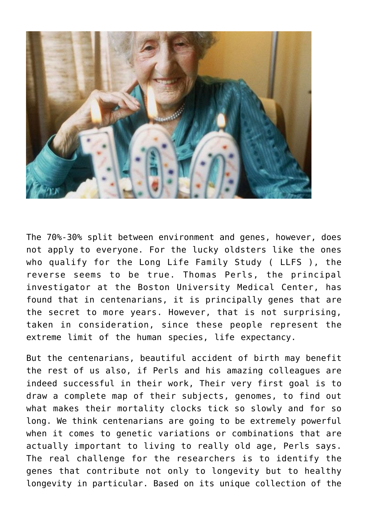

The 70%-30% split between environment and genes, however, does not apply to everyone. For the lucky oldsters like the ones who qualify for the Long Life Family Study ( LLFS ), the reverse seems to be true. Thomas Perls, the principal investigator at the Boston University Medical Center, has found that in centenarians, it is principally genes that are the secret to more years. However, that is not surprising, taken in consideration, since these people represent the extreme limit of the human species, life expectancy.

But the centenarians, beautiful accident of birth may benefit the rest of us also, if Perls and his amazing colleagues are indeed successful in their work, Their very first goal is to draw a complete map of their subjects, genomes, to find out what makes their mortality clocks tick so slowly and for so long. We think centenarians are going to be extremely powerful when it comes to genetic variations or combinations that are actually important to living to really old age, Perls says. The real challenge for the researchers is to identify the genes that contribute not only to longevity but to healthy longevity in particular. Based on its unique collection of the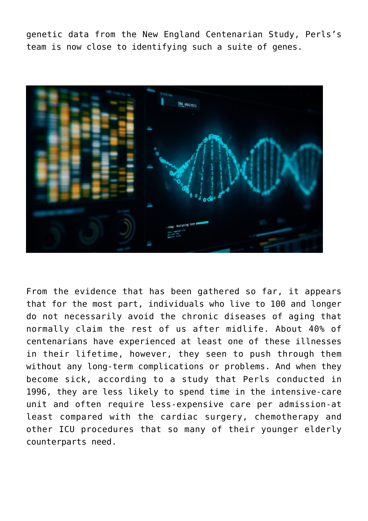genetic data from the New England Centenarian Study, Perls's team is now close to identifying such a suite of genes.



From the evidence that has been gathered so far, it appears that for the most part, individuals who live to 100 and longer do not necessarily avoid the chronic diseases of aging that normally claim the rest of us after midlife. About 40% of centenarians have experienced at least one of these illnesses in their lifetime, however, they seen to push through them without any long-term complications or problems. And when they become sick, according to a study that Perls conducted in 1996, they are less likely to spend time in the intensive-care unit and often require less-expensive care per admission-at least compared with the cardiac surgery, chemotherapy and other ICU procedures that so many of their younger elderly counterparts need.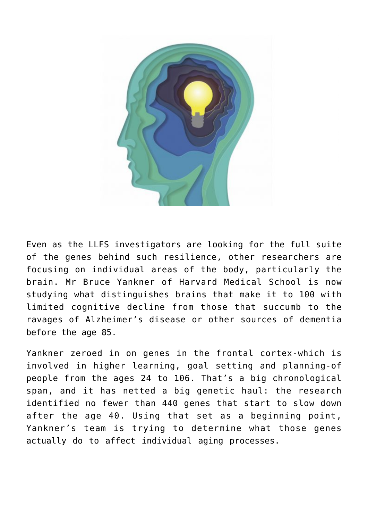

Even as the LLFS investigators are looking for the full suite of the genes behind such resilience, other researchers are focusing on individual areas of the body, particularly the brain. Mr Bruce Yankner of Harvard Medical School is now studying what distinguishes brains that make it to 100 with limited cognitive decline from those that succumb to the ravages of Alzheimer's disease or other sources of dementia before the age 85.

Yankner zeroed in on genes in the frontal cortex-which is involved in higher learning, goal setting and planning-of people from the ages 24 to 106. That's a big chronological span, and it has netted a big genetic haul: the research identified no fewer than 440 genes that start to slow down after the age 40. Using that set as a beginning point, Yankner's team is trying to determine what those genes actually do to affect individual aging processes.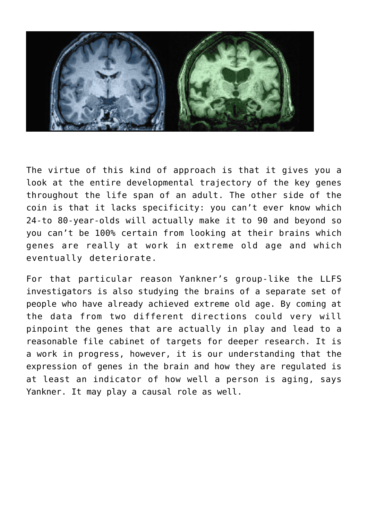

The virtue of this kind of approach is that it gives you a look at the entire developmental trajectory of the key genes throughout the life span of an adult. The other side of the coin is that it lacks specificity: you can't ever know which 24-to 80-year-olds will actually make it to 90 and beyond so you can't be 100% certain from looking at their brains which genes are really at work in extreme old age and which eventually deteriorate.

For that particular reason Yankner's group-like the LLFS investigators is also studying the brains of a separate set of people who have already achieved extreme old age. By coming at the data from two different directions could very will pinpoint the genes that are actually in play and lead to a reasonable file cabinet of targets for deeper research. It is a work in progress, however, it is our understanding that the expression of genes in the brain and how they are regulated is at least an indicator of how well a person is aging, says Yankner. It may play a causal role as well.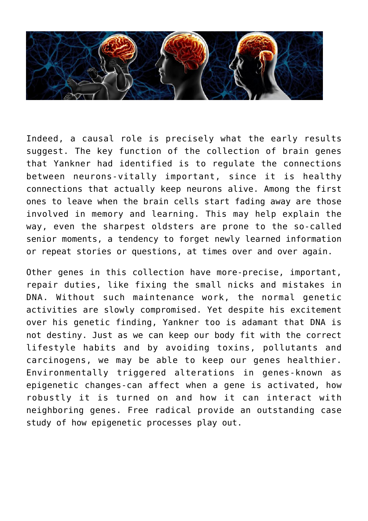

Indeed, a causal role is precisely what the early results suggest. The key function of the collection of brain genes that Yankner had identified is to regulate the connections between neurons-vitally important, since it is healthy connections that actually keep neurons alive. Among the first ones to leave when the brain cells start fading away are those involved in memory and learning. This may help explain the way, even the sharpest oldsters are prone to the so-called senior moments, a tendency to forget newly learned information or repeat stories or questions, at times over and over again.

Other genes in this collection have more-precise, important, repair duties, like fixing the small nicks and mistakes in DNA. Without such maintenance work, the normal genetic activities are slowly compromised. Yet despite his excitement over his genetic finding, Yankner too is adamant that DNA is not destiny. Just as we can keep our body fit with the correct lifestyle habits and by avoiding toxins, pollutants and carcinogens, we may be able to keep our genes healthier. Environmentally triggered alterations in genes-known as epigenetic changes-can affect when a gene is activated, how robustly it is turned on and how it can interact with neighboring genes. Free radical provide an outstanding case study of how epigenetic processes play out.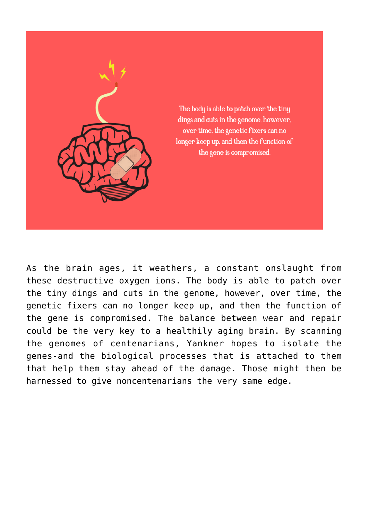

As the brain ages, it weathers, a constant onslaught from these destructive oxygen ions. The body is able to patch over the tiny dings and cuts in the genome, however, over time, the genetic fixers can no longer keep up, and then the function of the gene is compromised. The balance between wear and repair could be the very key to a healthily aging brain. By scanning the genomes of centenarians, Yankner hopes to isolate the genes-and the biological processes that is attached to them that help them stay ahead of the damage. Those might then be harnessed to give noncentenarians the very same edge.